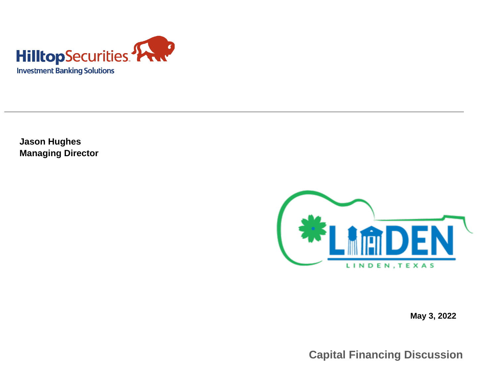

**Jason Hughes Managing Director**



**May 3, 2022**

**Capital Financing Discussion**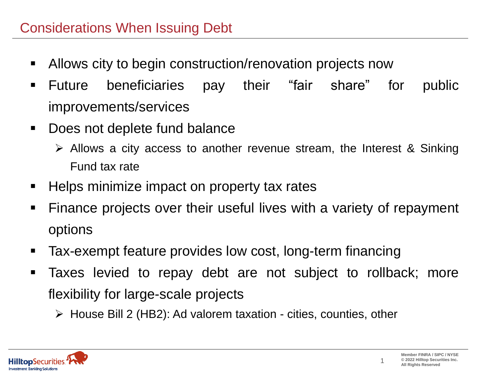- Allows city to begin construction/renovation projects now
- Future beneficiaries pay their "fair share" for public improvements/services
- Does not deplete fund balance
	- ➢ Allows a city access to another revenue stream, the Interest & Sinking Fund tax rate
- Helps minimize impact on property tax rates
- Finance projects over their useful lives with a variety of repayment options
- Tax-exempt feature provides low cost, long-term financing
- Taxes levied to repay debt are not subject to rollback; more flexibility for large-scale projects
	- ➢ House Bill 2 (HB2): Ad valorem taxation cities, counties, other



1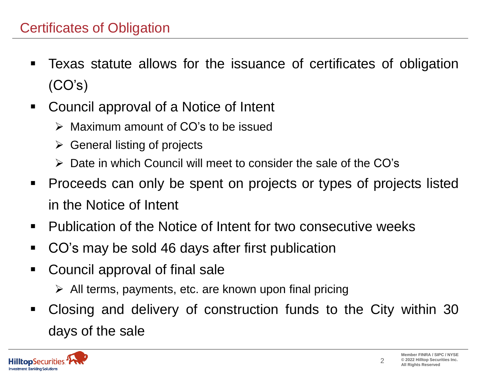- Texas statute allows for the issuance of certificates of obligation  $(CO's)$
- Council approval of a Notice of Intent
	- ➢ Maximum amount of CO's to be issued
	- $\triangleright$  General listing of projects
	- ➢ Date in which Council will meet to consider the sale of the CO's
- Proceeds can only be spent on projects or types of projects listed in the Notice of Intent
- Publication of the Notice of Intent for two consecutive weeks
- CO's may be sold 46 days after first publication
- Council approval of final sale
	- $\triangleright$  All terms, payments, etc. are known upon final pricing
- Closing and delivery of construction funds to the City within 30 days of the sale



2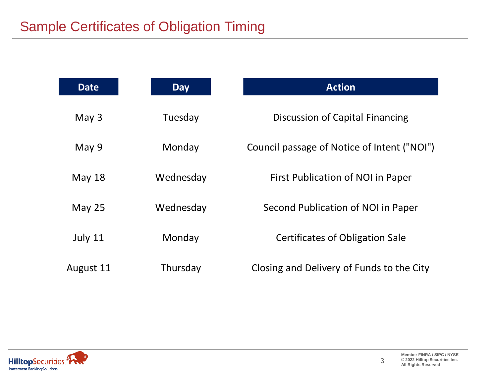| <b>Date</b> | <b>Day</b> | <b>Action</b>                               |
|-------------|------------|---------------------------------------------|
| May $3$     | Tuesday    | Discussion of Capital Financing             |
| May 9       | Monday     | Council passage of Notice of Intent ("NOI") |
| May $18$    | Wednesday  | First Publication of NOI in Paper           |
| May $25$    | Wednesday  | Second Publication of NOI in Paper          |
| July 11     | Monday     | <b>Certificates of Obligation Sale</b>      |
| August 11   | Thursday   | Closing and Delivery of Funds to the City   |



3